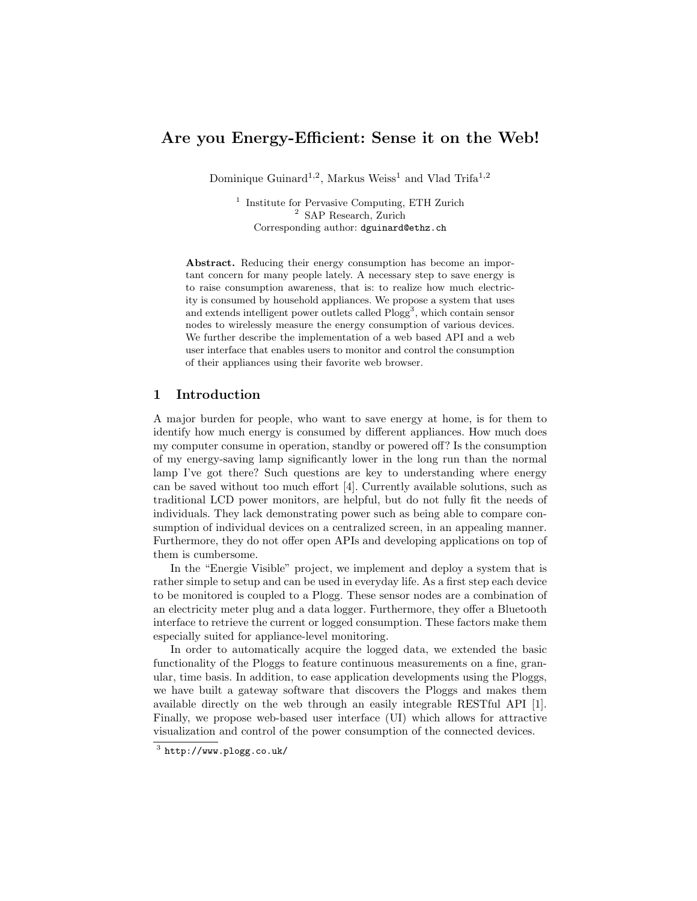# Are you Energy-Efficient: Sense it on the Web!

Dominique Guinard<sup>1,2</sup>, Markus Weiss<sup>1</sup> and Vlad Trifa<sup>1,2</sup>

<sup>1</sup> Institute for Pervasive Computing, ETH Zurich <sup>2</sup> SAP Research, Zurich Corresponding author: dguinard@ethz.ch

Abstract. Reducing their energy consumption has become an important concern for many people lately. A necessary step to save energy is to raise consumption awareness, that is: to realize how much electricity is consumed by household appliances. We propose a system that uses and extends intelligent power outlets called Plogg<sup>3</sup>, which contain sensor nodes to wirelessly measure the energy consumption of various devices. We further describe the implementation of a web based API and a web user interface that enables users to monitor and control the consumption of their appliances using their favorite web browser.

### 1 Introduction

A major burden for people, who want to save energy at home, is for them to identify how much energy is consumed by different appliances. How much does my computer consume in operation, standby or powered off? Is the consumption of my energy-saving lamp significantly lower in the long run than the normal lamp I've got there? Such questions are key to understanding where energy can be saved without too much effort [4]. Currently available solutions, such as traditional LCD power monitors, are helpful, but do not fully fit the needs of individuals. They lack demonstrating power such as being able to compare consumption of individual devices on a centralized screen, in an appealing manner. Furthermore, they do not offer open APIs and developing applications on top of them is cumbersome.

In the "Energie Visible" project, we implement and deploy a system that is rather simple to setup and can be used in everyday life. As a first step each device to be monitored is coupled to a Plogg. These sensor nodes are a combination of an electricity meter plug and a data logger. Furthermore, they offer a Bluetooth interface to retrieve the current or logged consumption. These factors make them especially suited for appliance-level monitoring.

In order to automatically acquire the logged data, we extended the basic functionality of the Ploggs to feature continuous measurements on a fine, granular, time basis. In addition, to ease application developments using the Ploggs, we have built a gateway software that discovers the Ploggs and makes them available directly on the web through an easily integrable RESTful API [1]. Finally, we propose web-based user interface (UI) which allows for attractive visualization and control of the power consumption of the connected devices.

 $3$  http://www.plogg.co.uk/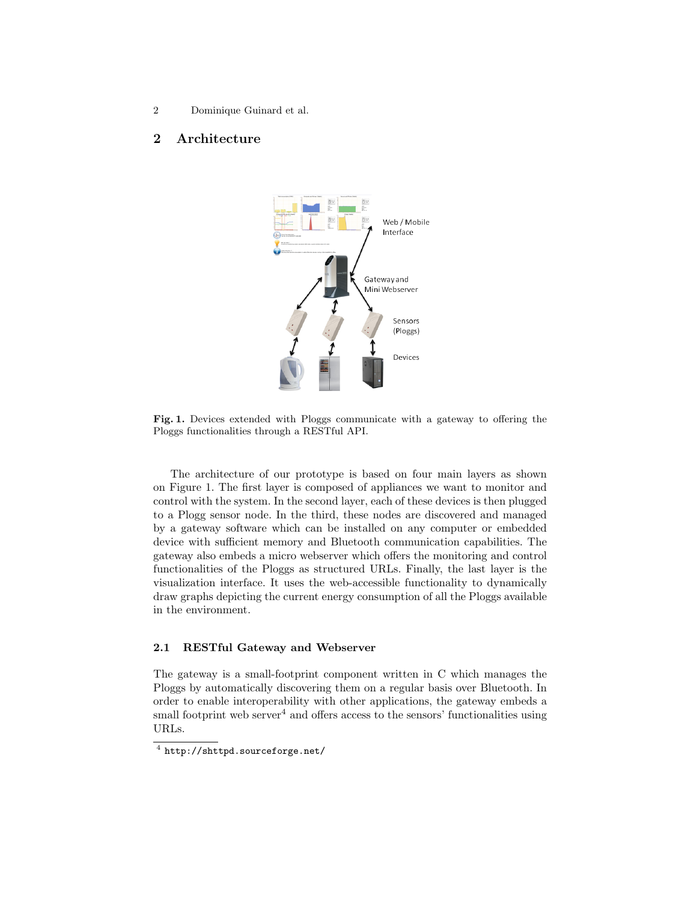2 Dominique Guinard et al.

## 2 Architecture



Fig. 1. Devices extended with Ploggs communicate with a gateway to offering the Ploggs functionalities through a RESTful API.

The architecture of our prototype is based on four main layers as shown on Figure 1. The first layer is composed of appliances we want to monitor and control with the system. In the second layer, each of these devices is then plugged to a Plogg sensor node. In the third, these nodes are discovered and managed by a gateway software which can be installed on any computer or embedded device with sufficient memory and Bluetooth communication capabilities. The gateway also embeds a micro webserver which offers the monitoring and control functionalities of the Ploggs as structured URLs. Finally, the last layer is the visualization interface. It uses the web-accessible functionality to dynamically draw graphs depicting the current energy consumption of all the Ploggs available in the environment.

#### 2.1 RESTful Gateway and Webserver

The gateway is a small-footprint component written in C which manages the Ploggs by automatically discovering them on a regular basis over Bluetooth. In order to enable interoperability with other applications, the gateway embeds a small footprint web server<sup>4</sup> and offers access to the sensors' functionalities using URLs.

<sup>4</sup> http://shttpd.sourceforge.net/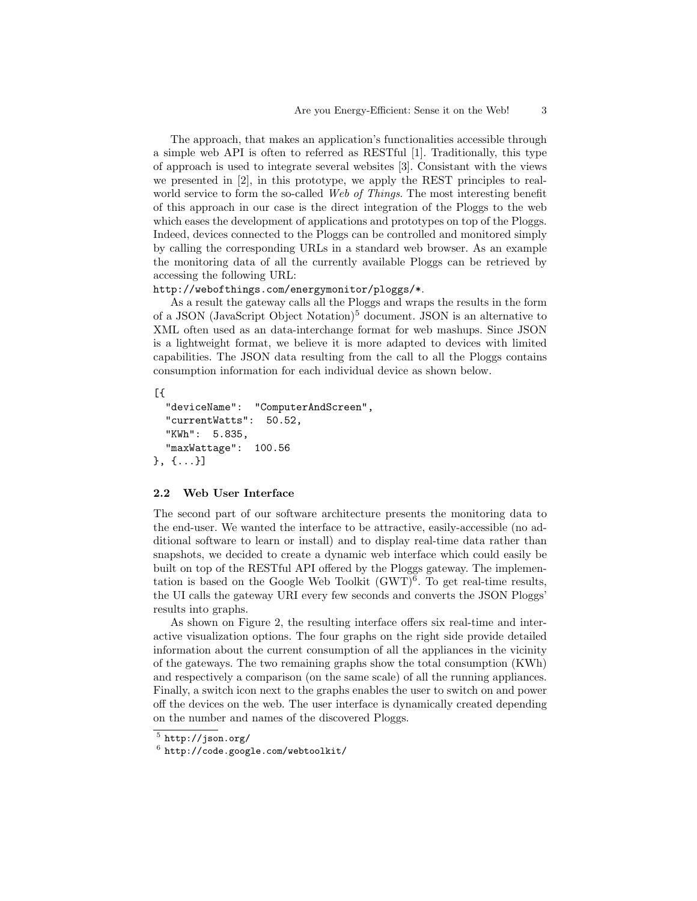The approach, that makes an application's functionalities accessible through a simple web API is often to referred as RESTful [1]. Traditionally, this type of approach is used to integrate several websites [3]. Consistant with the views we presented in [2], in this prototype, we apply the REST principles to realworld service to form the so-called Web of Things. The most interesting benefit of this approach in our case is the direct integration of the Ploggs to the web which eases the development of applications and prototypes on top of the Ploggs. Indeed, devices connected to the Ploggs can be controlled and monitored simply by calling the corresponding URLs in a standard web browser. As an example the monitoring data of all the currently available Ploggs can be retrieved by accessing the following URL:

#### http://webofthings.com/energymonitor/ploggs/\*.

As a result the gateway calls all the Ploggs and wraps the results in the form of a JSON (JavaScript Object Notation)<sup>5</sup> document. JSON is an alternative to XML often used as an data-interchange format for web mashups. Since JSON is a lightweight format, we believe it is more adapted to devices with limited capabilities. The JSON data resulting from the call to all the Ploggs contains consumption information for each individual device as shown below.

#### [{

```
"deviceName": "ComputerAndScreen",
  "currentWatts": 50.52,
  "KWh": 5.835,
  "maxWattage": 100.56
}, {...}]
```
#### 2.2 Web User Interface

The second part of our software architecture presents the monitoring data to the end-user. We wanted the interface to be attractive, easily-accessible (no additional software to learn or install) and to display real-time data rather than snapshots, we decided to create a dynamic web interface which could easily be built on top of the RESTful API offered by the Ploggs gateway. The implementation is based on the Google Web Toolkit  $(GWT)^6$ . To get real-time results, the UI calls the gateway URI every few seconds and converts the JSON Ploggs' results into graphs.

As shown on Figure 2, the resulting interface offers six real-time and interactive visualization options. The four graphs on the right side provide detailed information about the current consumption of all the appliances in the vicinity of the gateways. The two remaining graphs show the total consumption (KWh) and respectively a comparison (on the same scale) of all the running appliances. Finally, a switch icon next to the graphs enables the user to switch on and power off the devices on the web. The user interface is dynamically created depending on the number and names of the discovered Ploggs.

 $^5$  http://json.org/

 $^6$  http://code.google.com/webtoolkit/